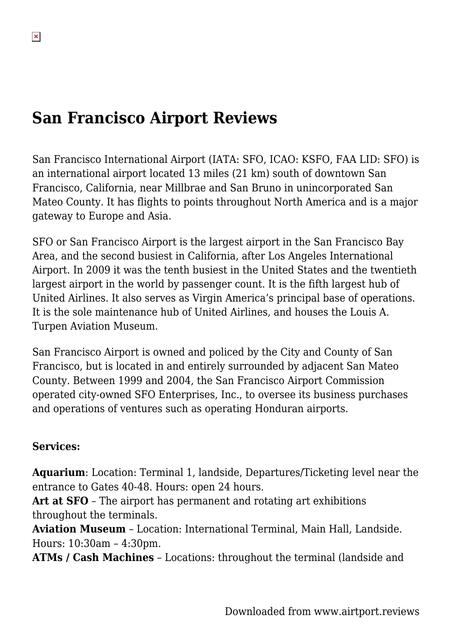## **San Francisco Airport Reviews**

San Francisco International Airport (IATA: SFO, ICAO: KSFO, FAA LID: SFO) is an international airport located 13 miles (21 km) south of downtown San Francisco, California, near Millbrae and San Bruno in unincorporated San Mateo County. It has flights to points throughout North America and is a major gateway to Europe and Asia.

SFO or San Francisco Airport is the largest airport in the San Francisco Bay Area, and the second busiest in California, after Los Angeles International Airport. In 2009 it was the tenth busiest in the United States and the twentieth largest airport in the world by passenger count. It is the fifth largest hub of United Airlines. It also serves as Virgin America's principal base of operations. It is the sole maintenance hub of United Airlines, and houses the Louis A. Turpen Aviation Museum.

San Francisco Airport is owned and policed by the City and County of San Francisco, but is located in and entirely surrounded by adjacent San Mateo County. Between 1999 and 2004, the San Francisco Airport Commission operated city-owned SFO Enterprises, Inc., to oversee its business purchases and operations of ventures such as operating Honduran airports.

#### **Services:**

**Aquarium**: Location: Terminal 1, landside, Departures/Ticketing level near the entrance to Gates 40-48. Hours: open 24 hours.

**Art at SFO** – The airport has permanent and rotating art exhibitions throughout the terminals.

**Aviation Museum** – Location: International Terminal, Main Hall, Landside. Hours: 10:30am – 4:30pm.

**ATMs / Cash Machines** – Locations: throughout the terminal (landside and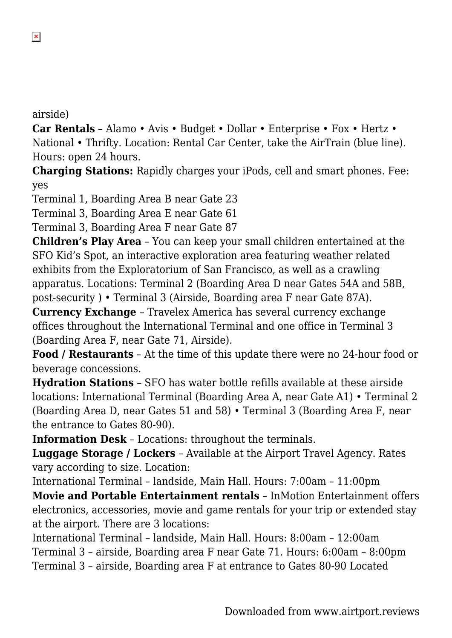airside)

**Car Rentals** – Alamo • Avis • Budget • Dollar • Enterprise • Fox • Hertz • National • Thrifty. Location: Rental Car Center, take the AirTrain (blue line). Hours: open 24 hours.

**Charging Stations:** Rapidly charges your iPods, cell and smart phones. Fee: yes

Terminal 1, Boarding Area B near Gate 23

Terminal 3, Boarding Area E near Gate 61

Terminal 3, Boarding Area F near Gate 87

**Children's Play Area** – You can keep your small children entertained at the SFO Kid's Spot, an interactive exploration area featuring weather related exhibits from the Exploratorium of San Francisco, as well as a crawling apparatus. Locations: Terminal 2 (Boarding Area D near Gates 54A and 58B, post-security ) • Terminal 3 (Airside, Boarding area F near Gate 87A).

**Currency Exchange** – Travelex America has several currency exchange offices throughout the International Terminal and one office in Terminal 3 (Boarding Area F, near Gate 71, Airside).

**Food / Restaurants** – At the time of this update there were no 24-hour food or beverage concessions.

**Hydration Stations** – SFO has water bottle refills available at these airside locations: International Terminal (Boarding Area A, near Gate A1) • Terminal 2 (Boarding Area D, near Gates 51 and 58) • Terminal 3 (Boarding Area F, near the entrance to Gates 80-90).

**Information Desk** – Locations: throughout the terminals.

**Luggage Storage / Lockers** – Available at the Airport Travel Agency. Rates vary according to size. Location:

International Terminal – landside, Main Hall. Hours: 7:00am – 11:00pm **Movie and Portable Entertainment rentals** – InMotion Entertainment offers electronics, accessories, movie and game rentals for your trip or extended stay at the airport. There are 3 locations:

International Terminal – landside, Main Hall. Hours: 8:00am – 12:00am Terminal 3 – airside, Boarding area F near Gate 71. Hours: 6:00am – 8:00pm Terminal 3 – airside, Boarding area F at entrance to Gates 80-90 Located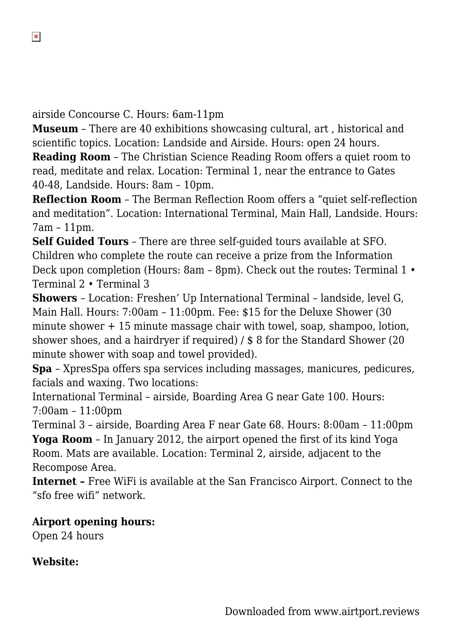airside Concourse C. Hours: 6am-11pm

 $\pmb{\times}$ 

**Museum** – There are 40 exhibitions showcasing cultural, art , historical and scientific topics. Location: Landside and Airside. Hours: open 24 hours.

**Reading Room** – The Christian Science Reading Room offers a quiet room to read, meditate and relax. Location: Terminal 1, near the entrance to Gates 40-48, Landside. Hours: 8am – 10pm.

**Reflection Room** – The Berman Reflection Room offers a "quiet self-reflection and meditation". Location: International Terminal, Main Hall, Landside. Hours: 7am – 11pm.

**Self Guided Tours** – There are three self-guided tours available at SFO. Children who complete the route can receive a prize from the Information Deck upon completion (Hours: 8am – 8pm). Check out the routes: Terminal 1 • Terminal 2 • Terminal 3

**Showers** – Location: Freshen' Up International Terminal – landside, level G, Main Hall. Hours: 7:00am – 11:00pm. Fee: \$15 for the Deluxe Shower (30 minute shower + 15 minute massage chair with towel, soap, shampoo, lotion, shower shoes, and a hairdryer if required) / \$ 8 for the Standard Shower (20 minute shower with soap and towel provided).

**Spa** – XpresSpa offers spa services including massages, manicures, pedicures, facials and waxing. Two locations:

International Terminal – airside, Boarding Area G near Gate 100. Hours: 7:00am – 11:00pm

Terminal 3 – airside, Boarding Area F near Gate 68. Hours: 8:00am – 11:00pm **Yoga Room** – In January 2012, the airport opened the first of its kind Yoga Room. Mats are available. Location: Terminal 2, airside, adjacent to the Recompose Area.

**Internet –** Free WiFi is available at the San Francisco Airport. Connect to the "sfo free wifi" network.

**Airport opening hours:** Open 24 hours

**Website:**